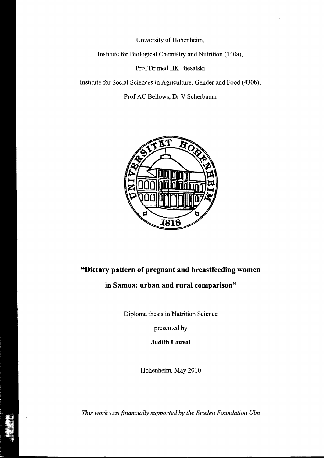University of Hohenheim,

Institute for Biological Chemistry and Nutrition (140a),

ProfDr med HK Biesalski

Institute for Social Sciences in Agriculture, Gender and Food (430b),

Prof AC Bellows, Dr V Scherbaum



## **"Dietary pattern of pregnant and breastfeeding women in Samoa: urban and rural comparison"**

Diploma thesis in Nutrition Science

presented by

**Judith Lauvai** 

Hohenheim, May 2010

*This work was financially supported by the Eiselen Foundation Ulm*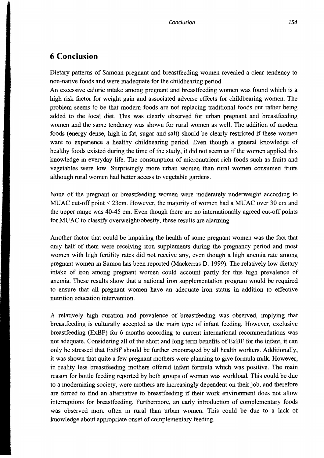## **6 Conclusion**

Dietary patterns of Samoan pregnant and breastfeeding women revealed a clear tendency to non-native foods and were inadequate for the childbearing period.

An excessive caloric intake among pregnant and breastfeeding women was found which is a high risk factor for weight gain and associated adverse effects for childbearing women. The problem seems to be that modem foods are not replacing traditional foods but rather being added to the local diet. This was clearly observed for urban pregnant and breastfeeding women and the same tendency was shown for rural women as weIl. The addition of modem foods (energy dense, high in fat, sugar and salt) should be clearly restricted if these women want to experience a healthy childbearing period. Even though a general knowledge of healthy foods existed during the time of the study, it did not seem as if the women applied this knowledge in everyday life. The consumption of micronutrient rich foods such as fruits and vegetables were low. Surprisingly more urban women than rural women consumed fruits although rural women had better access to vegetable gardens.

None of the pregnant or breastfeeding women were moderately underweight according to MUAC cut-off point < 23cm. However, the majority of women had a MUAC over 30 cm and the upper range was 40-45 cm. Even though there are no internationally agreed cut-off points for MUAC to classify overweight/obesity, these results are alarming.

Another factor that could be impairing the health of some pregnant women was the fact that only half of them were receiving iron supplements during the pregnancy period and most women with high fertility rates did not receive any, even though a high anemia rate among pregnant women in Samoa has been reported (Mackerras D. 1999). The relatively low dietary intake of iron among pregnant women could account partly for this high prevalence of anemia. These results show that anational iron supplementation program would be required to ensure that all pregnant women have an adequate iron status in addition to effective nutrition education intervention.

A relatively high duration and prevalence of breastfeeding was observed, implying that breastfeeding is culturally accepted as the main type of infant feeding. However, exclusive breastfeeding (ExBF) for 6 months according to current international recommendations was not adequate. Considering all of the short and long term benefits of ExBF for the infant, it can only be stressed that ExBF should be further encouraged by all health workers. Additionally, it was shown that quite a few pregnant mothers were planning to give formula milk. However, in reality less breastfeeding mothers offered infant formula which was positive. The main reason for bottle feeding reported by both groups of woman was workload. This could be due to a modernizing society, were mothers are increasingly dependent on their job, and therefore are forced to find an alternative to breastfeeding if their work environment does not allow interruptions for breastfeeding. Furthermore, an early introduction of complementary foods was observed more often in rural than urban women. This could be due to a lack of knowledge about appropriate onset of complementary feeding.